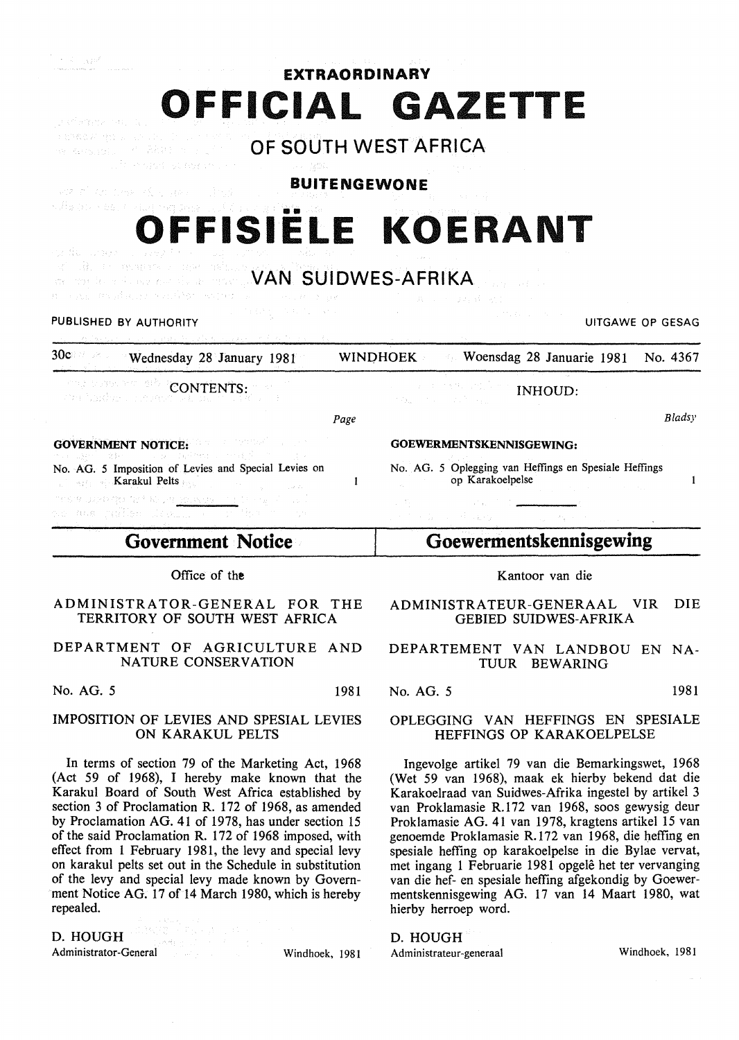| a man existent |  |  |  |         | EXTRAORDINARY |  |      |  |
|----------------|--|--|--|---------|---------------|--|------|--|
|                |  |  |  | FFICIAL |               |  | ZE I |  |

verkewign a shak. **OF SOUTH WEST AFRICA**  we wealth. The Phalon such the in the spot is early the st

**BUITENGEWONE**  (402) 2010 12:38 12:56 12:38 2011 12:35 1

# OFFISIËLE KOERANT

st die resumment met asken. **VAN SUIDWES-AFRIKA** 

## PUBLISHED BY AUTHORITY **EXECUTE A SECOND TEST OF SECOND ACTIVITY** UITGAWE OP GESAG

 $\omega_{\rm c} \sim 10^{10}$ 

oz filozofia

30c Vednesday 28 January 1981 WINDHOEK Veensdag 28 Januarie 1981 No. 4367

ma oger vælgdr CONTENTS: กับ ไอนไรธาาบบทบ

*Page* 

 $\mathbf{1}$ 

GOVERNMENT NOTICE: A STREAM OF STREAM OF STREAM OF STREAM OF STREAM OF STREAM OF STREAM OF STREAM OF STREAM OF STREAM OF STREAM OF STREAM OF STREAM OF STREAM OF STREAM OF STREAM OF STREAM OF STREAM OF STREAM OF STREAM OF S .<br>Mga Lu

No. AG. 5 Imposition of Levies and Special Levies on Karakul Pelts nes vango tel Radi<u>ter</u>

ans pillish

**Government Notice** 

## Office of the

ADMINISTRATOR-GENERAL FOR THE TERRITORY OF SOUTH WEST AFRICA

DEPARTMENT OF AGRICULTURE AND NATURE CONSERVATION

No. AG. 5 1981

### IMPOSITION OF LEVIES AND SPESIAL LEVIES ON KARAKUL PELTS

In terms of section 79 of the Marketing Act, 1968 (Act 59 of 1968), I hereby make known that the Karakul Board of South West Africa established by section 3 of Proclamation R. 172 of 1968, as amended by Proclamation AG. 41 of 1978, has under section 15 of the said Proclamation R. 172 of 1968 imposed, with effect from 1 February 1981, the levy and special levy on karakul pelts set out in the Schedule in substitution of the levy and special levy made known by Government Notice AG. 17 of 14 March 1980, which is hereby repealed.

D. HOUGH

Administrator-General Windhoek, 1981

GOEWERMENTSKENNISGEWING:

 $\mathbb{R}^d \to \widetilde{\mathbb{R}}^d \to \mathbb{R}^{d \times d} \mathbb{R}^{d \times d}$ 

No. AG. 5 Oplegging van Heffings en Spesiale Heffings op Karakoelpelse

INHOUD:

# **Goewermentskennisgewing**

Kantoor van die

ADMINISTRATEUR-GENERAAL VIR DIE GEBIED SUIDWES-AFRIKA

DEPARTEMENT VAN LANDBOU EN NA-TUUR BEWARING

No. AG. 5 1981

## OPLEGGING VAN HEFFINGS EN SPESIALE HEFFINGS OP KARAKOELPELSE

Ingevolge artikel 79 van die Bemarkingswet, 1968 (Wet 59 van 1968), maak ek hierby bekend dat die Karakoelraad van Suidwes-Afrika ingestel by artikel 3 van Proklamasie R.172 van 1968, soos gewysig deur Proklamasie AG. 41 van 1978, kragtens artikel 15 van genoemde Proklamasie R.172 van 1968, die heffing en spesiale hefting op karakoelpelse in die Bylae vervat, met ingang 1 Februarie 1981 opgele het ter vervanging van die hef- en spesiale hefting afgekondig by Goewermentskennisgewing AG. 17 van 14 Maart 1980, wat hierby herroep word.

D. HOUGH Administrateur-generaal Windhoek, 1981

 $\sim$   $\sim$ 

*Bladsy* 

 $\mathbf{1}$